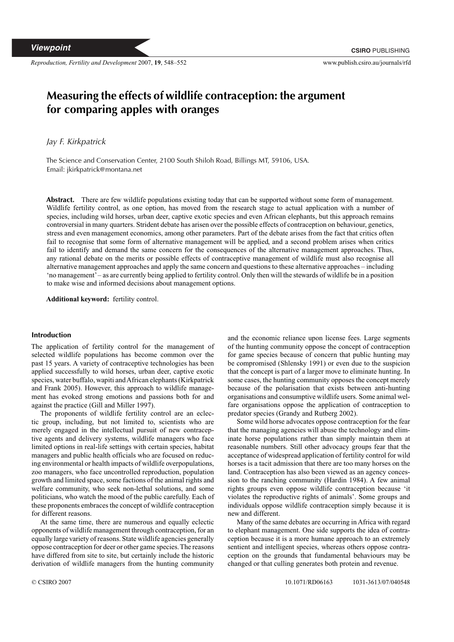*Reproduction, Fertility and Development* 2007, **19**, 548–552 www.publish.csiro.au/journals/rfd

# **Measuring the effects of wildlife contraception: the argument for comparing apples with oranges**

*Jay F. Kirkpatrick*

The Science and Conservation Center, 2100 South Shiloh Road, Billings MT, 59106, USA. Email: jkirkpatrick@montana.net

**Abstract.** There are few wildlife populations existing today that can be supported without some form of management. Wildlife fertility control, as one option, has moved from the research stage to actual application with a number of species, including wild horses, urban deer, captive exotic species and even African elephants, but this approach remains controversial in many quarters. Strident debate has arisen over the possible effects of contraception on behaviour, genetics, stress and even management economics, among other parameters. Part of the debate arises from the fact that critics often fail to recognise that some form of alternative management will be applied, and a second problem arises when critics fail to identify and demand the same concern for the consequences of the alternative management approaches. Thus, any rational debate on the merits or possible effects of contraceptive management of wildlife must also recognise all alternative management approaches and apply the same concern and questions to these alternative approaches – including 'no management'– as are currently being applied to fertility control. Only then will the stewards of wildlife be in a position to make wise and informed decisions about management options.

**Additional keyword:** fertility control.

## **Introduction**

The application of fertility control for the management of selected wildlife populations has become common over the past 15 years. A variety of contraceptive technologies has been applied successfully to wild horses, urban deer, captive exotic species, water buffalo, wapiti andAfrican elephants (Kirkpatrick and Frank 2005). However, this approach to wildlife management has evoked strong emotions and passions both for and against the practice (Gill and Miller 1997).

The proponents of wildlife fertility control are an eclectic group, including, but not limited to, scientists who are merely engaged in the intellectual pursuit of new contraceptive agents and delivery systems, wildlife managers who face limited options in real-life settings with certain species, habitat managers and public health officials who are focused on reducing environmental or health impacts of wildlife overpopulations, zoo managers, who face uncontrolled reproduction, population growth and limited space, some factions of the animal rights and welfare community, who seek non-lethal solutions, and some politicians, who watch the mood of the public carefully. Each of these proponents embraces the concept of wildlife contraception for different reasons.

At the same time, there are numerous and equally eclectic opponents of wildlife management through contraception, for an equally large variety of reasons. State wildlife agencies generally oppose contraception for deer or other game species.The reasons have differed from site to site, but certainly include the historic derivation of wildlife managers from the hunting community and the economic reliance upon license fees. Large segments of the hunting community oppose the concept of contraception for game species because of concern that public hunting may be compromised (Shlensky 1991) or even due to the suspicion that the concept is part of a larger move to eliminate hunting. In some cases, the hunting community opposes the concept merely because of the polarisation that exists between anti-hunting organisations and consumptive wildlife users. Some animal welfare organisations oppose the application of contraception to predator species (Grandy and Rutberg 2002).

Some wild horse advocates oppose contraception for the fear that the managing agencies will abuse the technology and eliminate horse populations rather than simply maintain them at reasonable numbers. Still other advocacy groups fear that the acceptance of widespread application of fertility control for wild horses is a tacit admission that there are too many horses on the land. Contraception has also been viewed as an agency concession to the ranching community (Hardin 1984). A few animal rights groups even oppose wildlife contraception because 'it violates the reproductive rights of animals'. Some groups and individuals oppose wildlife contraception simply because it is new and different.

Many of the same debates are occurring in Africa with regard to elephant management. One side supports the idea of contraception because it is a more humane approach to an extremely sentient and intelligent species, whereas others oppose contraception on the grounds that fundamental behaviours may be changed or that culling generates both protein and revenue.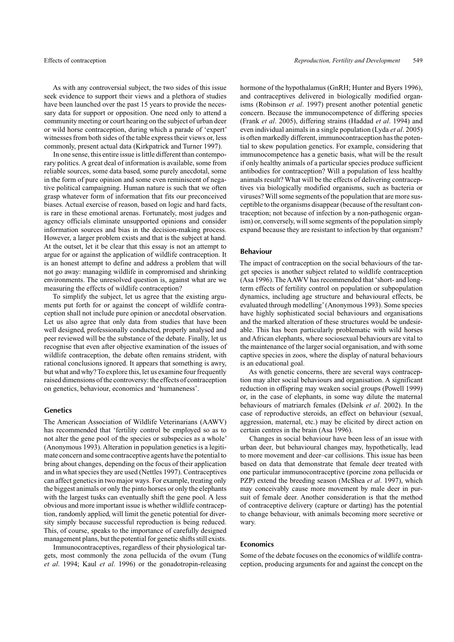As with any controversial subject, the two sides of this issue seek evidence to support their views and a plethora of studies have been launched over the past 15 years to provide the necessary data for support or opposition. One need only to attend a community meeting or court hearing on the subject of urban deer or wild horse contraception, during which a parade of 'expert' witnesses from both sides of the table express their views or, less commonly, present actual data (Kirkpatrick and Turner 1997).

In one sense, this entire issue is little different than contemporary politics. A great deal of information is available, some from reliable sources, some data based, some purely anecdotal, some in the form of pure opinion and some even reminiscent of negative political campaigning. Human nature is such that we often grasp whatever form of information that fits our preconceived biases. Actual exercise of reason, based on logic and hard facts, is rare in these emotional arenas. Fortunately, most judges and agency officials eliminate unsupported opinions and consider information sources and bias in the decision-making process. However, a larger problem exists and that is the subject at hand. At the outset, let it be clear that this essay is not an attempt to argue for or against the application of wildlife contraception. It is an honest attempt to define and address a problem that will not go away: managing wildlife in compromised and shrinking environments. The unresolved question is, against what are we measuring the effects of wildlife contraception?

To simplify the subject, let us agree that the existing arguments put forth for or against the concept of wildlife contraception shall not include pure opinion or anecdotal observation. Let us also agree that only data from studies that have been well designed, professionally conducted, properly analysed and peer reviewed will be the substance of the debate. Finally, let us recognise that even after objective examination of the issues of wildlife contraception, the debate often remains strident, with rational conclusions ignored. It appears that something is awry, but what and why?To explore this, let us examine four frequently raised dimensions of the controversy: the effects of contraception on genetics, behaviour, economics and 'humaneness'.

#### **Genetics**

The American Association of Wildlife Veterinarians (AAWV) has recommended that 'fertility control be employed so as to not alter the gene pool of the species or subspecies as a whole' (Anonymous 1993). Alteration in population genetics is a legitimate concern and some contraceptive agents have the potential to bring about changes, depending on the focus of their application and in what species they are used (Nettles 1997). Contraceptives can affect genetics in two major ways. For example, treating only the biggest animals or only the pinto horses or only the elephants with the largest tusks can eventually shift the gene pool. A less obvious and more important issue is whether wildlife contraception, randomly applied, will limit the genetic potential for diversity simply because successful reproduction is being reduced. This, of course, speaks to the importance of carefully designed management plans, but the potential for genetic shifts still exists.

Immunocontraceptives, regardless of their physiological targets, most commonly the zona pellucida of the ovum (Tung *et al*. 1994; Kaul *et al*. 1996) or the gonadotropin-releasing hormone of the hypothalamus (GnRH; Hunter and Byers 1996), and contraceptives delivered in biologically modified organisms (Robinson *et al*. 1997) present another potential genetic concern. Because the immunocompetence of differing species (Frank *et al*. 2005), differing strains (Haddad *et al*. 1994) and even individual animals in a single population (Lyda *et al*. 2005) is often markedly different, immunocontraception has the potential to skew population genetics. For example, considering that immunocompetence has a genetic basis, what will be the result if only healthy animals of a particular species produce sufficient antibodies for contraception? Will a population of less healthy animals result? What will be the effects of delivering contraceptives via biologically modified organisms, such as bacteria or viruses? Will some segments of the population that are more susceptible to the organisms disappear (because of the resultant contraception; not because of infection by a non-pathogenic organism) or, conversely, will some segments of the population simply expand because they are resistant to infection by that organism?

## **Behaviour**

The impact of contraception on the social behaviours of the target species is another subject related to wildlife contraception (Asa 1996). TheAAWV has recommended that 'short- and longterm effects of fertility control on population or subpopulation dynamics, including age structure and behavioural effects, be evaluated through modelling'(Anonymous 1993). Some species have highly sophisticated social behaviours and organisations and the marked alteration of these structures would be undesirable. This has been particularly problematic with wild horses and African elephants, where sociosexual behaviours are vital to the maintenance of the larger social organisation, and with some captive species in zoos, where the display of natural behaviours is an educational goal.

As with genetic concerns, there are several ways contraception may alter social behaviours and organisation. A significant reduction in offspring may weaken social groups (Powell 1999) or, in the case of elephants, in some way dilute the maternal behaviours of matriarch females (Delsink *et al*. 2002). In the case of reproductive steroids, an effect on behaviour (sexual, aggression, maternal, etc.) may be elicited by direct action on certain centres in the brain (Asa 1996).

Changes in social behaviour have been less of an issue with urban deer, but behavioural changes may, hypothetically, lead to more movement and deer–car collisions. This issue has been based on data that demonstrate that female deer treated with one particular immunocontraceptive (porcine zona pellucida or PZP) extend the breeding season (McShea *et al*. 1997), which may conceivably cause more movement by male deer in pursuit of female deer. Another consideration is that the method of contraceptive delivery (capture or darting) has the potential to change behaviour, with animals becoming more secretive or wary.

## **Economics**

Some of the debate focuses on the economics of wildlife contraception, producing arguments for and against the concept on the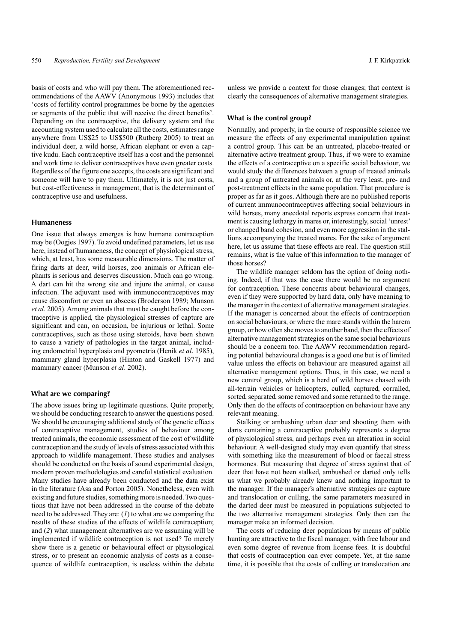basis of costs and who will pay them. The aforementioned recommendations of the AAWV (Anonymous 1993) includes that 'costs of fertility control programmes be borne by the agencies or segments of the public that will receive the direct benefits'. Depending on the contraceptive, the delivery system and the accounting system used to calculate all the costs, estimates range anywhere from US\$25 to US\$500 (Rutberg 2005) to treat an individual deer, a wild horse, African elephant or even a captive kudu. Each contraceptive itself has a cost and the personnel and work time to deliver contraceptives have even greater costs. Regardless of the figure one accepts, the costs are significant and someone will have to pay them. Ultimately, it is not just costs, but cost-effectiveness in management, that is the determinant of contraceptive use and usefulness.

### **Humaneness**

One issue that always emerges is how humane contraception may be (Oogjes 1997). To avoid undefined parameters, let us use here, instead of humaneness, the concept of physiological stress, which, at least, has some measurable dimensions. The matter of firing darts at deer, wild horses, zoo animals or African elephants is serious and deserves discussion. Much can go wrong. A dart can hit the wrong site and injure the animal, or cause infection. The adjuvant used with immunocontraceptives may cause discomfort or even an abscess (Broderson 1989; Munson *et al*. 2005). Among animals that must be caught before the contraceptive is applied, the physiological stresses of capture are significant and can, on occasion, be injurious or lethal. Some contraceptives, such as those using steroids, have been shown to cause a variety of pathologies in the target animal, including endometrial hyperplasia and pyometria (Henik *et al*. 1985), mammary gland hyperplasia (Hinton and Gaskell 1977) and mammary cancer (Munson *et al*. 2002).

## **What are we comparing?**

The above issues bring up legitimate questions. Quite properly, we should be conducting research to answer the questions posed. We should be encouraging additional study of the genetic effects of contraceptive management, studies of behaviour among treated animals, the economic assessment of the cost of wildlife contraception and the study of levels of stress associated with this approach to wildlife management. These studies and analyses should be conducted on the basis of sound experimental design, modern proven methodologies and careful statistical evaluation. Many studies have already been conducted and the data exist in the literature (Asa and Porton 2005). Nonetheless, even with existing and future studies, something more is needed.Two questions that have not been addressed in the course of the debate need to be addressed. They are: (*1*) to what are we comparing the results of these studies of the effects of wildlife contraception; and (*2*) what management alternatives are we assuming will be implemented if wildlife contraception is not used? To merely show there is a genetic or behavioural effect or physiological stress, or to present an economic analysis of costs as a consequence of wildlife contraception, is useless within the debate unless we provide a context for those changes; that context is clearly the consequences of alternative management strategies.

### **What is the control group?**

Normally, and properly, in the course of responsible science we measure the effects of any experimental manipulation against a control group. This can be an untreated, placebo-treated or alternative active treatment group. Thus, if we were to examine the effects of a contraceptive on a specific social behaviour, we would study the differences between a group of treated animals and a group of untreated animals or, at the very least, pre- and post-treatment effects in the same population. That procedure is proper as far as it goes. Although there are no published reports of current immunocontraceptives affecting social behaviours in wild horses, many anecdotal reports express concern that treatment is causing lethargy in mares or, interestingly, social 'unrest' or changed band cohesion, and even more aggression in the stallions accompanying the treated mares. For the sake of argument here, let us assume that these effects are real. The question still remains, what is the value of this information to the manager of those horses?

The wildlife manager seldom has the option of doing nothing. Indeed, if that was the case there would be no argument for contraception. These concerns about behavioural changes, even if they were supported by hard data, only have meaning to the manager in the context of alternative management strategies. If the manager is concerned about the effects of contraception on social behaviours, or where the mare stands within the harem group, or how often she moves to another band, then the effects of alternative management strategies on the same social behaviours should be a concern too. The AAWV recommendation regarding potential behavioural changes is a good one but is of limited value unless the effects on behaviour are measured against all alternative management options. Thus, in this case, we need a new control group, which is a herd of wild horses chased with all-terrain vehicles or helicopters, culled, captured, corralled, sorted, separated, some removed and some returned to the range. Only then do the effects of contraception on behaviour have any relevant meaning.

Stalking or ambushing urban deer and shooting them with darts containing a contraceptive probably represents a degree of physiological stress, and perhaps even an alteration in social behaviour. A well-designed study may even quantify that stress with something like the measurement of blood or faecal stress hormones. But measuring that degree of stress against that of deer that have not been stalked, ambushed or darted only tells us what we probably already knew and nothing important to the manager. If the manager's alternative strategies are capture and translocation or culling, the same parameters measured in the darted deer must be measured in populations subjected to the two alternative management strategies. Only then can the manager make an informed decision.

The costs of reducing deer populations by means of public hunting are attractive to the fiscal manager, with free labour and even some degree of revenue from license fees. It is doubtful that costs of contraception can ever compete. Yet, at the same time, it is possible that the costs of culling or translocation are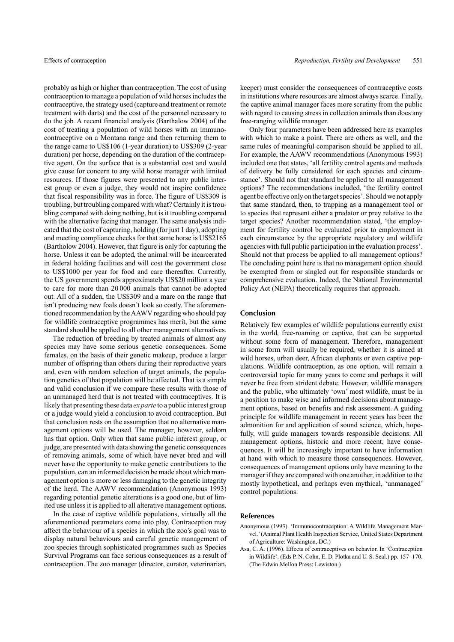probably as high or higher than contraception. The cost of using contraception to manage a population of wild horses includes the contraceptive, the strategy used (capture and treatment or remote treatment with darts) and the cost of the personnel necessary to do the job. A recent financial analysis (Barthalow 2004) of the cost of treating a population of wild horses with an immunocontraceptive on a Montana range and then returning them to the range came to US\$106 (1-year duration) to US\$309 (2-year duration) per horse, depending on the duration of the contraceptive agent. On the surface that is a substantial cost and would give cause for concern to any wild horse manager with limited resources. If those figures were presented to any public interest group or even a judge, they would not inspire confidence that fiscal responsibility was in force. The figure of US\$309 is troubling, but troubling compared with what? Certainly it is troubling compared with doing nothing, but is it troubling compared with the alternative facing that manager. The same analysis indicated that the cost of capturing, holding (for just 1 day), adopting and meeting compliance checks for that same horse is US\$2165 (Bartholow 2004). However, that figure is only for capturing the horse. Unless it can be adopted, the animal will be incarcerated in federal holding facilities and will cost the government close to US\$1000 per year for food and care thereafter. Currently, the US government spends approximately US\$20 million a year to care for more than 20 000 animals that cannot be adopted out. All of a sudden, the US\$309 and a mare on the range that isn't producing new foals doesn't look so costly. The aforementioned recommendation by theAAWV regarding who should pay for wildlife contraceptive programmes has merit, but the same standard should be applied to all other management alternatives.

The reduction of breeding by treated animals of almost any species may have some serious genetic consequences. Some females, on the basis of their genetic makeup, produce a larger number of offspring than others during their reproductive years and, even with random selection of target animals, the population genetics of that population will be affected. That is a simple and valid conclusion if we compare these results with those of an unmanaged herd that is not treated with contraceptives. It is likely that presenting these data *ex parte* to a public interest group or a judge would yield a conclusion to avoid contraception. But that conclusion rests on the assumption that no alternative management options will be used. The manager, however, seldom has that option. Only when that same public interest group, or judge, are presented with data showing the genetic consequences of removing animals, some of which have never bred and will never have the opportunity to make genetic contributions to the population, can an informed decision be made about which management option is more or less damaging to the genetic integrity of the herd. The AAWV recommendation (Anonymous 1993) regarding potential genetic alterations is a good one, but of limited use unless it is applied to all alterative management options.

In the case of captive wildlife populations, virtually all the aforementioned parameters come into play. Contraception may affect the behaviour of a species in which the zoo's goal was to display natural behaviours and careful genetic management of zoo species through sophisticated programmes such as Species Survival Programs can face serious consequences as a result of contraception. The zoo manager (director, curator, veterinarian,

keeper) must consider the consequences of contraceptive costs in institutions where resources are almost always scarce. Finally, the captive animal manager faces more scrutiny from the public with regard to causing stress in collection animals than does any free-ranging wildlife manager.

Only four parameters have been addressed here as examples with which to make a point. There are others as well, and the same rules of meaningful comparison should be applied to all. For example, the AAWV recommendations (Anonymous 1993) included one that states, 'all fertility control agents and methods of delivery be fully considered for each species and circumstance'. Should not that standard be applied to all management options? The recommendations included, 'the fertility control agent be effective only on the target species'. Should we not apply that same standard, then, to trapping as a management tool or to species that represent either a predator or prey relative to the target species? Another recommendation stated, 'the employment for fertility control be evaluated prior to employment in each circumstance by the appropriate regulatory and wildlife agencies with full public participation in the evaluation process'. Should not that process be applied to all management options? The concluding point here is that no management option should be exempted from or singled out for responsible standards or comprehensive evaluation. Indeed, the National Environmental Policy Act (NEPA) theoretically requires that approach.

## **Conclusion**

Relatively few examples of wildlife populations currently exist in the world, free-roaming or captive, that can be supported without some form of management. Therefore, management in some form will usually be required, whether it is aimed at wild horses, urban deer, African elephants or even captive populations. Wildlife contraception, as one option, will remain a controversial topic for many years to come and perhaps it will never be free from strident debate. However, wildlife managers and the public, who ultimately 'own' most wildlife, must be in a position to make wise and informed decisions about management options, based on benefits and risk assessment. A guiding principle for wildlife management in recent years has been the admonition for and application of sound science, which, hopefully, will guide managers towards responsible decisions. All management options, historic and more recent, have consequences. It will be increasingly important to have information at hand with which to measure those consequences. However, consequences of management options only have meaning to the manager if they are compared with one another, in addition to the mostly hypothetical, and perhaps even mythical, 'unmanaged' control populations.

## **References**

- Anonymous (1993). 'Immunocontraception: A Wildlife Management Marvel.'(Animal Plant Health Inspection Service, United States Department of Agriculture: Washington, DC.)
- Asa, C. A. (1996). Effects of contraceptives on behavior. In 'Contraception in Wildlife'. (Eds P. N. Cohn, E. D. Plotka and U. S. Seal.) pp. 157–170. (The Edwin Mellon Press: Lewiston.)